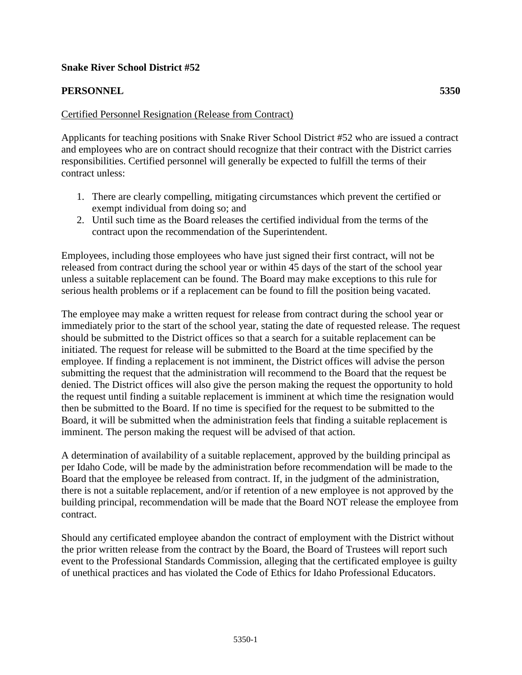## **Snake River School District #52**

## **PERSONNEL 5350**

## Certified Personnel Resignation (Release from Contract)

Applicants for teaching positions with Snake River School District #52 who are issued a contract and employees who are on contract should recognize that their contract with the District carries responsibilities. Certified personnel will generally be expected to fulfill the terms of their contract unless:

- 1. There are clearly compelling, mitigating circumstances which prevent the certified or exempt individual from doing so; and
- 2. Until such time as the Board releases the certified individual from the terms of the contract upon the recommendation of the Superintendent.

Employees, including those employees who have just signed their first contract, will not be released from contract during the school year or within 45 days of the start of the school year unless a suitable replacement can be found. The Board may make exceptions to this rule for serious health problems or if a replacement can be found to fill the position being vacated.

The employee may make a written request for release from contract during the school year or immediately prior to the start of the school year, stating the date of requested release. The request should be submitted to the District offices so that a search for a suitable replacement can be initiated. The request for release will be submitted to the Board at the time specified by the employee. If finding a replacement is not imminent, the District offices will advise the person submitting the request that the administration will recommend to the Board that the request be denied. The District offices will also give the person making the request the opportunity to hold the request until finding a suitable replacement is imminent at which time the resignation would then be submitted to the Board. If no time is specified for the request to be submitted to the Board, it will be submitted when the administration feels that finding a suitable replacement is imminent. The person making the request will be advised of that action.

A determination of availability of a suitable replacement, approved by the building principal as per Idaho Code, will be made by the administration before recommendation will be made to the Board that the employee be released from contract. If, in the judgment of the administration, there is not a suitable replacement, and/or if retention of a new employee is not approved by the building principal, recommendation will be made that the Board NOT release the employee from contract.

Should any certificated employee abandon the contract of employment with the District without the prior written release from the contract by the Board, the Board of Trustees will report such event to the Professional Standards Commission, alleging that the certificated employee is guilty of unethical practices and has violated the Code of Ethics for Idaho Professional Educators.